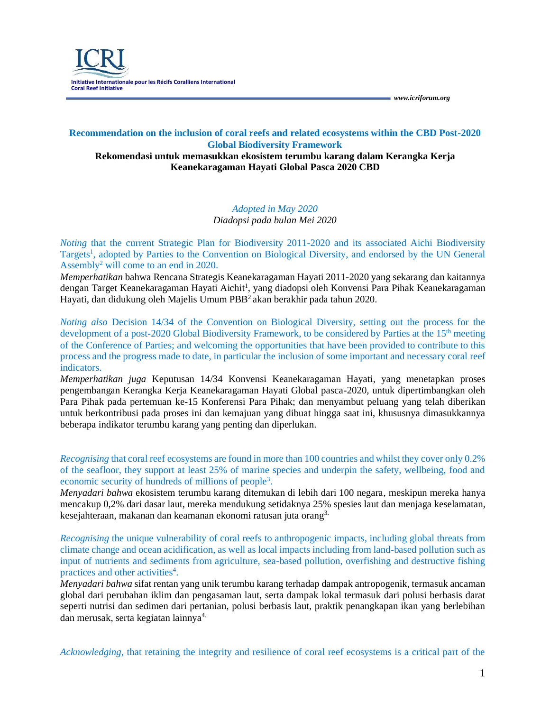## **Recommendation on the inclusion of coral reefs and related ecosystems within the CBD Post-2020 Global Biodiversity Framework**

#### **Rekomendasi untuk memasukkan ekosistem terumbu karang dalam Kerangka Kerja Keanekaragaman Hayati Global Pasca 2020 CBD**

*Adopted in May 2020 Diadopsi pada bulan Mei 2020*

*Noting* that the current Strategic Plan for Biodiversity 2011-2020 and its associated Aichi Biodiversity Targets<sup>1</sup>, adopted by Parties to the Convention on Biological Diversity, and endorsed by the UN General Assembly<sup>2</sup> will come to an end in 2020.

*Memperhatikan* bahwa Rencana Strategis Keanekaragaman Hayati 2011-2020 yang sekarang dan kaitannya dengan Target Keanekaragaman Hayati Aichit<sup>1</sup>, yang diadopsi oleh Konvensi Para Pihak Keanekaragaman Hayati, dan didukung oleh Majelis Umum PBB<sup>2</sup> akan berakhir pada tahun 2020.

*Noting also* Decision 14/34 of the Convention on Biological Diversity, setting out the process for the development of a post-2020 Global Biodiversity Framework, to be considered by Parties at the 15<sup>th</sup> meeting of the Conference of Parties; and welcoming the opportunities that have been provided to contribute to this process and the progress made to date, in particular the inclusion of some important and necessary coral reef indicators.

*Memperhatikan juga* Keputusan 14/34 Konvensi Keanekaragaman Hayati, yang menetapkan proses pengembangan Kerangka Kerja Keanekaragaman Hayati Global pasca-2020, untuk dipertimbangkan oleh Para Pihak pada pertemuan ke-15 Konferensi Para Pihak; dan menyambut peluang yang telah diberikan untuk berkontribusi pada proses ini dan kemajuan yang dibuat hingga saat ini, khususnya dimasukkannya beberapa indikator terumbu karang yang penting dan diperlukan.

*Recognising* that coral reef ecosystems are found in more than 100 countries and whilst they cover only 0.2% of the seafloor, they support at least 25% of marine species and underpin the safety, wellbeing, food and economic security of hundreds of millions of people<sup>3</sup>.

*Menyadari bahwa* ekosistem terumbu karang ditemukan di lebih dari 100 negara, meskipun mereka hanya mencakup 0,2% dari dasar laut, mereka mendukung setidaknya 25% spesies laut dan menjaga keselamatan, kesejahteraan, makanan dan keamanan ekonomi ratusan juta orang3.

*Recognising* the unique vulnerability of coral reefs to anthropogenic impacts, including global threats from climate change and ocean acidification, as well as local impacts including from land-based pollution such as input of nutrients and sediments from agriculture, sea-based pollution, overfishing and destructive fishing practices and other activities<sup>4</sup>.

*Menyadari bahwa* sifat rentan yang unik terumbu karang terhadap dampak antropogenik, termasuk ancaman global dari perubahan iklim dan pengasaman laut, serta dampak lokal termasuk dari polusi berbasis darat seperti nutrisi dan sedimen dari pertanian, polusi berbasis laut, praktik penangkapan ikan yang berlebihan dan merusak, serta kegiatan lainnya<sup>4.</sup>

*Acknowledging*, that retaining the integrity and resilience of coral reef ecosystems is a critical part of the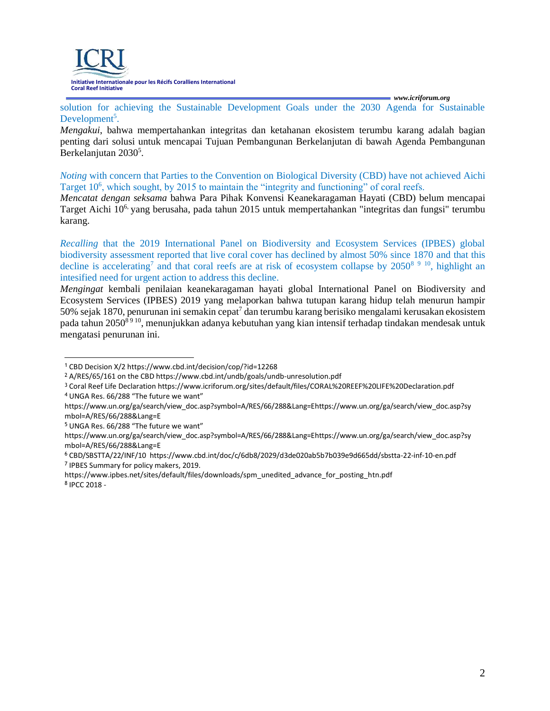

solution for achieving the Sustainable Development Goals under the 2030 Agenda for Sustainable Development<sup>5</sup>.

*Mengakui*, bahwa mempertahankan integritas dan ketahanan ekosistem terumbu karang adalah bagian penting dari solusi untuk mencapai Tujuan Pembangunan Berkelanjutan di bawah Agenda Pembangunan Berkelanjutan 2030<sup>5</sup>.

*Noting* with concern that Parties to the Convention on Biological Diversity (CBD) have not achieved Aichi Target 10<sup>6</sup>, which sought, by 2015 to maintain the "integrity and functioning" of coral reefs.

*Mencatat dengan seksama* bahwa Para Pihak Konvensi Keanekaragaman Hayati (CBD) belum mencapai Target Aichi 106, yang berusaha, pada tahun 2015 untuk mempertahankan "integritas dan fungsi" terumbu karang.

*Recalling* that the 2019 International Panel on Biodiversity and Ecosystem Services (IPBES) global biodiversity assessment reported that live coral cover has declined by almost 50% since 1870 and that this decline is accelerating<sup>7</sup> and that coral reefs are at risk of ecosystem collapse by  $2050<sup>8</sup>$ <sup>9</sup> <sup>10</sup>, highlight an intesified need for urgent action to address this decline.

*Mengingat* kembali penilaian keanekaragaman hayati global International Panel on Biodiversity and Ecosystem Services (IPBES) 2019 yang melaporkan bahwa tutupan karang hidup telah menurun hampir 50% sejak 1870, penurunan ini semakin cepat<sup>7</sup> dan terumbu karang berisiko mengalami kerusakan ekosistem pada tahun 2050<sup>8 9 10</sup>, menunjukkan adanya kebutuhan yang kian intensif terhadap tindakan mendesak untuk mengatasi penurunan ini.

- <sup>4</sup>UNGA Res. 66/288 "The future we want"
- https://www.un.org/ga/search/view\_doc.asp?symbol=A/RES/66/288&Lang=Ehttps:/[/www.un.org/ga/search/view\\_doc.asp?sy](http://www.un.org/ga/search/view_doc.asp?sy) mbol=A/RES/66/288&Lang=E

<sup>1</sup>CBD Decision X/2 https:/[/www.cbd.int/decision/cop/?id=12268](http://www.cbd.int/decision/cop/?id=12268)

<sup>2</sup>A/RES/65/161 on the CBD https:/[/www.cbd.int/undb/goals/undb-unresolution.pdf](http://www.cbd.int/undb/goals/undb-unresolution.pdf)

<sup>3</sup>Coral Reef Life Declaration https:/[/www.icriforum.org/sites/default/files/CORAL%20REEF%20LIFE%20Declaration.pdf](http://www.icriforum.org/sites/default/files/CORAL%20REEF%20LIFE%20Declaration.pdf)

<sup>&</sup>lt;sup>5</sup> UNGA Res. 66/288 "The future we want"

https://www.un.org/ga/search/view\_doc.asp?symbol=A/RES/66/288&Lang=Ehttps:/[/www.un.org/ga/search/view\\_doc.asp?sy](http://www.un.org/ga/search/view_doc.asp?sy) mbol=A/RES/66/288&Lang=E

<sup>6</sup>CBD/SBSTTA/22/INF/10 https:/[/www.cbd.int/doc/c/6db8/2029/d3de020ab5b7b039e9d665dd/sbstta-22-inf-10-en.pdf](http://www.cbd.int/doc/c/6db8/2029/d3de020ab5b7b039e9d665dd/sbstta-22-inf-10-en.pdf) <sup>7</sup>IPBES Summary for policy makers, 2019.

https:/[/www.ipbes.net/sites/default/files/downloads/spm\\_unedited\\_advance\\_for\\_posting\\_htn.pdf](http://www.ipbes.net/sites/default/files/downloads/spm_unedited_advance_for_posting_htn.pdf) 8 IPCC 2018 -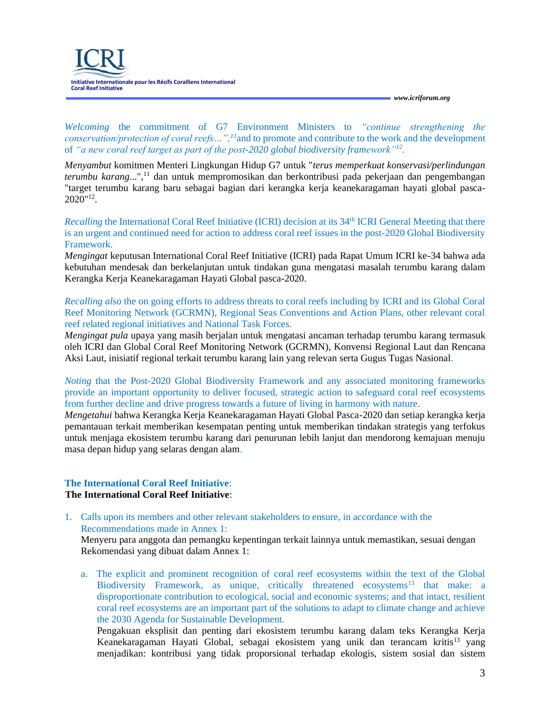**Initiative Internationale pour les Récifs Coralliens International Coral Reef Initiative**

*[www.icriforum.org](http://www.icriforum.org/)*

*Welcoming* the commitment of G7 Environment Ministers to *"continue strengthening the conservation/protection of coral reefs…",<sup>11</sup>*and to promote and contribute to the work and the development of *"a new coral reef target as part of the post-2020 global biodiversity framework"<sup>12</sup> .*

*Menyambut* komitmen Menteri Lingkungan Hidup G7 untuk "*terus memperkuat konservasi/perlindungan terumbu karang.*..",<sup>11</sup> dan untuk mempromosikan dan berkontribusi pada pekerjaan dan pengembangan "target terumbu karang baru sebagai bagian dari kerangka kerja keanekaragaman hayati global pasca-2020"<sup>12</sup> .

*Recalling* the International Coral Reef Initiative (ICRI) decision at its 34<sup>th</sup> ICRI General Meeting that there is an urgent and continued need for action to address coral reef issues in the post-2020 Global Biodiversity Framework.

*Mengingat* keputusan International Coral Reef Initiative (ICRI) pada Rapat Umum ICRI ke-34 bahwa ada kebutuhan mendesak dan berkelanjutan untuk tindakan guna mengatasi masalah terumbu karang dalam Kerangka Kerja Keanekaragaman Hayati Global pasca-2020.

*Recalling also* the on going efforts to address threats to coral reefs including by ICRI and its Global Coral Reef Monitoring Network (GCRMN), Regional Seas Conventions and Action Plans, other relevant coral reef related regional initiatives and National Task Forces.

*Mengingat pula* upaya yang masih berjalan untuk mengatasi ancaman terhadap terumbu karang termasuk oleh ICRI dan Global Coral Reef Monitoring Network (GCRMN), Konvensi Regional Laut dan Rencana Aksi Laut, inisiatif regional terkait terumbu karang lain yang relevan serta Gugus Tugas Nasional.

*Noting* that the Post-2020 Global Biodiversity Framework and any associated monitoring frameworks provide an important opportunity to deliver focused, strategic action to safeguard coral reef ecosystems from further decline and drive progress towards a future of living in harmony with nature.

*Mengetahui* bahwa Kerangka Kerja Keanekaragaman Hayati Global Pasca-2020 dan setiap kerangka kerja pemantauan terkait memberikan kesempatan penting untuk memberikan tindakan strategis yang terfokus untuk menjaga ekosistem terumbu karang dari penurunan lebih lanjut dan mendorong kemajuan menuju masa depan hidup yang selaras dengan alam.

#### **The International Coral Reef Initiative**: **The International Coral Reef Initiative**:

1. Calls upon its members and other relevant stakeholders to ensure, in accordance with the Recommendations made in Annex 1:

Menyeru para anggota dan pemangku kepentingan terkait lainnya untuk memastikan, sesuai dengan Rekomendasi yang dibuat dalam Annex 1:

a. The explicit and prominent recognition of coral reef ecosystems within the text of the Global Biodiversity Framework, as unique, critically threatened ecosystems<sup>13</sup> that make: a disproportionate contribution to ecological, social and economic systems; and that intact, resilient coral reef ecosystems are an important part of the solutions to adapt to climate change and achieve the 2030 Agenda for Sustainable Development.

Pengakuan eksplisit dan penting dari ekosistem terumbu karang dalam teks Kerangka Kerja Keanekaragaman Hayati Global, sebagai ekosistem yang unik dan terancam kritis<sup>13</sup> yang menjadikan: kontribusi yang tidak proporsional terhadap ekologis, sistem sosial dan sistem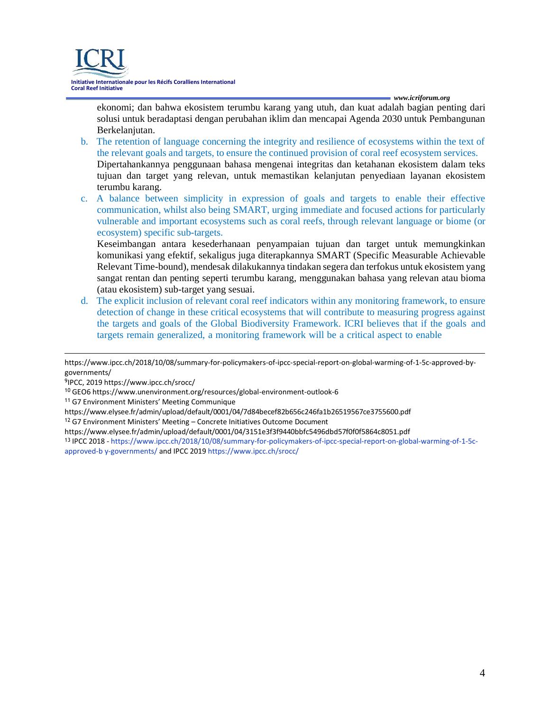

ekonomi; dan bahwa ekosistem terumbu karang yang utuh, dan kuat adalah bagian penting dari solusi untuk beradaptasi dengan perubahan iklim dan mencapai Agenda 2030 untuk Pembangunan Berkelanjutan.

- b. The retention of language concerning the integrity and resilience of ecosystems within the text of the relevant goals and targets, to ensure the continued provision of coral reef ecosystem services. Dipertahankannya penggunaan bahasa mengenai integritas dan ketahanan ekosistem dalam teks tujuan dan target yang relevan, untuk memastikan kelanjutan penyediaan layanan ekosistem terumbu karang.
- c. A balance between simplicity in expression of goals and targets to enable their effective communication, whilst also being SMART, urging immediate and focused actions for particularly vulnerable and important ecosystems such as coral reefs, through relevant language or biome (or ecosystem) specific sub-targets.

Keseimbangan antara kesederhanaan penyampaian tujuan dan target untuk memungkinkan komunikasi yang efektif, sekaligus juga diterapkannya SMART (Specific Measurable Achievable Relevant Time-bound), mendesak dilakukannya tindakan segera dan terfokus untuk ekosistem yang sangat rentan dan penting seperti terumbu karang, menggunakan bahasa yang relevan atau bioma (atau ekosistem) sub-target yang sesuai.

d. The explicit inclusion of relevant coral reef indicators within any monitoring framework, to ensure detection of change in these critical ecosystems that will contribute to measuring progress against the targets and goals of the Global Biodiversity Framework. ICRI believes that if the goals and targets remain generalized, a monitoring framework will be a critical aspect to enable

https:/[/www.ipcc.ch/2018/10/08/summary-for-policymakers-of-ipcc-special-report-on-global-warming-of-1-5c-approved-by](http://www.ipcc.ch/2018/10/08/summary-for-policymakers-of-ipcc-special-report-on-global-warming-of-1-5c-approved-by-)governments/

<sup>11</sup>G7 Environment Ministers' Meeting Communique

<sup>12</sup>G7 Environment Ministers' Meeting – Concrete Initiatives Outcome Document

https:/[/www.elysee.fr/admin/upload/default/0001/04/3151e3f3f9440bbfc5496dbd57f0f0f5864c8051.pdf](http://www.elysee.fr/admin/upload/default/0001/04/3151e3f3f9440bbfc5496dbd57f0f0f5864c8051.pdf)

<sup>9</sup> IPCC, 2019 https:/[/www.ipcc.ch/srocc/](http://www.ipcc.ch/srocc/)

<sup>10</sup>GEO6 https:/[/www.unenvironment.org/resources/global-environment-outlook-6](http://www.unenvironment.org/resources/global-environment-outlook-6)

https:/[/www.elysee.fr/admin/upload/default/0001/04/7d84becef82b656c246fa1b26519567ce3755600.pdf](http://www.elysee.fr/admin/upload/default/0001/04/7d84becef82b656c246fa1b26519567ce3755600.pdf) 

<sup>13</sup>IPCC 2018 - https:/[/www.ipcc.ch/2018/10/08/summary-for-policymakers-of-ipcc-special-report-on-global-warming-of-1-5c](http://www.ipcc.ch/2018/10/08/summary-for-policymakers-of-ipcc-special-report-on-global-warming-of-1-5c-)approved-b y-governments/ and IPCC 2019 https:/[/www.ipcc.ch/srocc/](http://www.ipcc.ch/srocc/)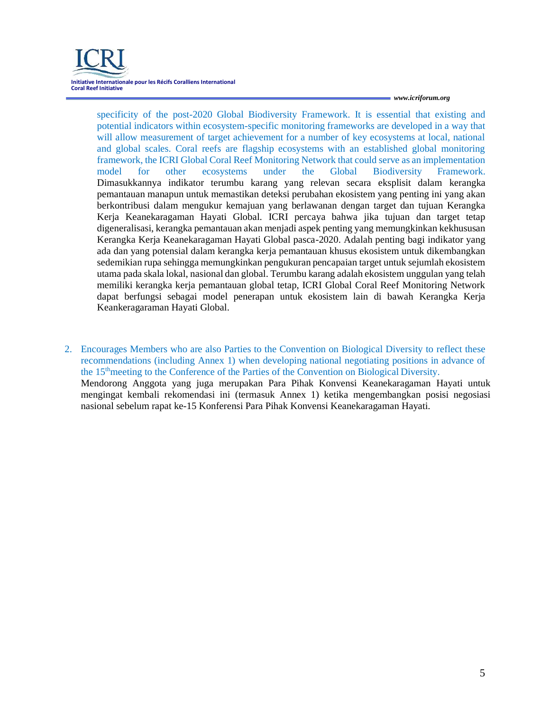specificity of the post-2020 Global Biodiversity Framework. It is essential that existing and potential indicators within ecosystem-specific monitoring frameworks are developed in a way that will allow measurement of target achievement for a number of key ecosystems at local, national and global scales. Coral reefs are flagship ecosystems with an established global monitoring framework, the ICRI Global Coral Reef Monitoring Network that could serve as an implementation model for other ecosystems under the Global Biodiversity Framework. Dimasukkannya indikator terumbu karang yang relevan secara eksplisit dalam kerangka pemantauan manapun untuk memastikan deteksi perubahan ekosistem yang penting ini yang akan berkontribusi dalam mengukur kemajuan yang berlawanan dengan target dan tujuan Kerangka Kerja Keanekaragaman Hayati Global. ICRI percaya bahwa jika tujuan dan target tetap digeneralisasi, kerangka pemantauan akan menjadi aspek penting yang memungkinkan kekhususan Kerangka Kerja Keanekaragaman Hayati Global pasca-2020. Adalah penting bagi indikator yang ada dan yang potensial dalam kerangka kerja pemantauan khusus ekosistem untuk dikembangkan sedemikian rupa sehingga memungkinkan pengukuran pencapaian target untuk sejumlah ekosistem utama pada skala lokal, nasional dan global. Terumbu karang adalah ekosistem unggulan yang telah memiliki kerangka kerja pemantauan global tetap, ICRI Global Coral Reef Monitoring Network dapat berfungsi sebagai model penerapan untuk ekosistem lain di bawah Kerangka Kerja Keankeragaraman Hayati Global.

2. Encourages Members who are also Parties to the Convention on Biological Diversity to reflect these recommendations (including Annex 1) when developing national negotiating positions in advance of the 15thmeeting to the Conference of the Parties of the Convention on Biological Diversity. Mendorong Anggota yang juga merupakan Para Pihak Konvensi Keanekaragaman Hayati untuk mengingat kembali rekomendasi ini (termasuk Annex 1) ketika mengembangkan posisi negosiasi nasional sebelum rapat ke-15 Konferensi Para Pihak Konvensi Keanekaragaman Hayati.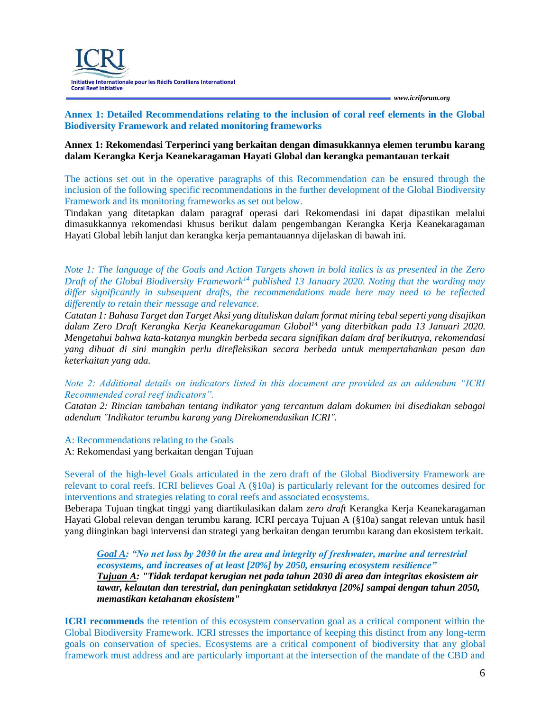#### **Annex 1: Detailed Recommendations relating to the inclusion of coral reef elements in the Global Biodiversity Framework and related monitoring frameworks**

#### **Annex 1: Rekomendasi Terperinci yang berkaitan dengan dimasukkannya elemen terumbu karang dalam Kerangka Kerja Keanekaragaman Hayati Global dan kerangka pemantauan terkait**

The actions set out in the operative paragraphs of this Recommendation can be ensured through the inclusion of the following specific recommendations in the further development of the Global Biodiversity Framework and its monitoring frameworks as set out below.

Tindakan yang ditetapkan dalam paragraf operasi dari Rekomendasi ini dapat dipastikan melalui dimasukkannya rekomendasi khusus berikut dalam pengembangan Kerangka Kerja Keanekaragaman Hayati Global lebih lanjut dan kerangka kerja pemantauannya dijelaskan di bawah ini.

*Note 1: The language of the Goals and Action Targets shown in bold italics is as presented in the Zero Draft of the Global Biodiversity Framework<sup>14</sup> published 13 January 2020. Noting that the wording may differ significantly in subsequent drafts, the recommendations made here may need to be reflected differently to retain their message and relevance.*

*Catatan 1: Bahasa Target dan Target Aksi yang dituliskan dalam format miring tebal seperti yang disajikan dalam Zero Draft Kerangka Kerja Keanekaragaman Global<sup>14</sup> yang diterbitkan pada 13 Januari 2020. Mengetahui bahwa kata-katanya mungkin berbeda secara signifikan dalam draf berikutnya, rekomendasi yang dibuat di sini mungkin perlu direfleksikan secara berbeda untuk mempertahankan pesan dan keterkaitan yang ada.*

*Note 2: Additional details on indicators listed in this document are provided as an addendum "ICRI Recommended coral reef indicators".*

*Catatan 2: Rincian tambahan tentang indikator yang tercantum dalam dokumen ini disediakan sebagai adendum "Indikator terumbu karang yang Direkomendasikan ICRI".*

A: Recommendations relating to the Goals

A: Rekomendasi yang berkaitan dengan Tujuan

Several of the high-level Goals articulated in the zero draft of the Global Biodiversity Framework are relevant to coral reefs. ICRI believes Goal A (§10a) is particularly relevant for the outcomes desired for interventions and strategies relating to coral reefs and associated ecosystems.

Beberapa Tujuan tingkat tinggi yang diartikulasikan dalam *zero draft* Kerangka Kerja Keanekaragaman Hayati Global relevan dengan terumbu karang. ICRI percaya Tujuan A (§10a) sangat relevan untuk hasil yang diinginkan bagi intervensi dan strategi yang berkaitan dengan terumbu karang dan ekosistem terkait.

*Goal A: "No net loss by 2030 in the area and integrity of freshwater, marine and terrestrial ecosystems, and increases of at least [20%] by 2050, ensuring ecosystem resilience" Tujuan A: "Tidak terdapat kerugian net pada tahun 2030 di area dan integritas ekosistem air tawar, kelautan dan terestrial, dan peningkatan setidaknya [20%] sampai dengan tahun 2050, memastikan ketahanan ekosistem"*

**ICRI recommends** the retention of this ecosystem conservation goal as a critical component within the Global Biodiversity Framework. ICRI stresses the importance of keeping this distinct from any long-term goals on conservation of species. Ecosystems are a critical component of biodiversity that any global framework must address and are particularly important at the intersection of the mandate of the CBD and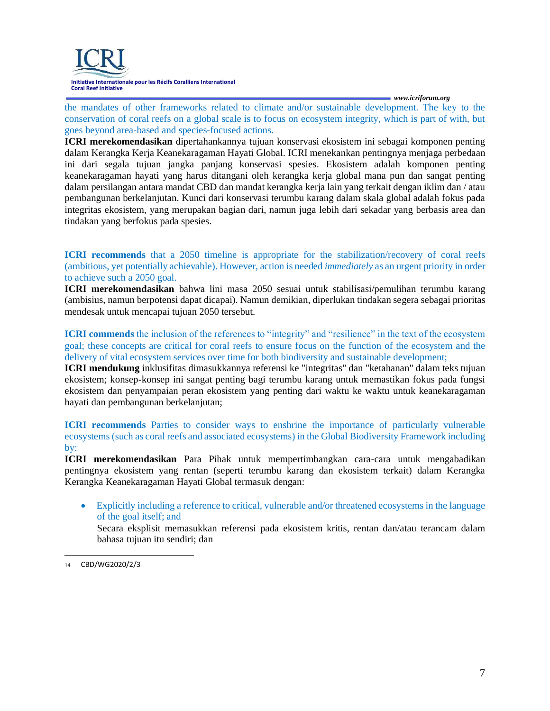

the mandates of other frameworks related to climate and/or sustainable development. The key to the conservation of coral reefs on a global scale is to focus on ecosystem integrity, which is part of with, but goes beyond area-based and species-focused actions.

**ICRI merekomendasikan** dipertahankannya tujuan konservasi ekosistem ini sebagai komponen penting dalam Kerangka Kerja Keanekaragaman Hayati Global. ICRI menekankan pentingnya menjaga perbedaan ini dari segala tujuan jangka panjang konservasi spesies. Ekosistem adalah komponen penting keanekaragaman hayati yang harus ditangani oleh kerangka kerja global mana pun dan sangat penting dalam persilangan antara mandat CBD dan mandat kerangka kerja lain yang terkait dengan iklim dan / atau pembangunan berkelanjutan. Kunci dari konservasi terumbu karang dalam skala global adalah fokus pada integritas ekosistem, yang merupakan bagian dari, namun juga lebih dari sekadar yang berbasis area dan tindakan yang berfokus pada spesies.

**ICRI recommends** that a 2050 timeline is appropriate for the stabilization/recovery of coral reefs (ambitious, yet potentially achievable). However, action is needed *immediately* as an urgent priority in order to achieve such a 2050 goal.

**ICRI merekomendasikan** bahwa lini masa 2050 sesuai untuk stabilisasi/pemulihan terumbu karang (ambisius, namun berpotensi dapat dicapai). Namun demikian, diperlukan tindakan segera sebagai prioritas mendesak untuk mencapai tujuan 2050 tersebut.

**ICRI commends** the inclusion of the references to "integrity" and "resilience" in the text of the ecosystem goal; these concepts are critical for coral reefs to ensure focus on the function of the ecosystem and the delivery of vital ecosystem services over time for both biodiversity and sustainable development;

**ICRI mendukung** inklusifitas dimasukkannya referensi ke "integritas" dan "ketahanan" dalam teks tujuan ekosistem; konsep-konsep ini sangat penting bagi terumbu karang untuk memastikan fokus pada fungsi ekosistem dan penyampaian peran ekosistem yang penting dari waktu ke waktu untuk keanekaragaman hayati dan pembangunan berkelanjutan;

**ICRI recommends** Parties to consider ways to enshrine the importance of particularly vulnerable ecosystems (such as coral reefs and associated ecosystems) in the Global Biodiversity Framework including by:

**ICRI merekomendasikan** Para Pihak untuk mempertimbangkan cara-cara untuk mengabadikan pentingnya ekosistem yang rentan (seperti terumbu karang dan ekosistem terkait) dalam Kerangka Kerangka Keanekaragaman Hayati Global termasuk dengan:

• Explicitly including a reference to critical, vulnerable and/or threatened ecosystems in the language of the goal itself; and Secara eksplisit memasukkan referensi pada ekosistem kritis, rentan dan/atau terancam dalam bahasa tujuan itu sendiri; dan

<sup>14</sup> CBD/WG2020/2/3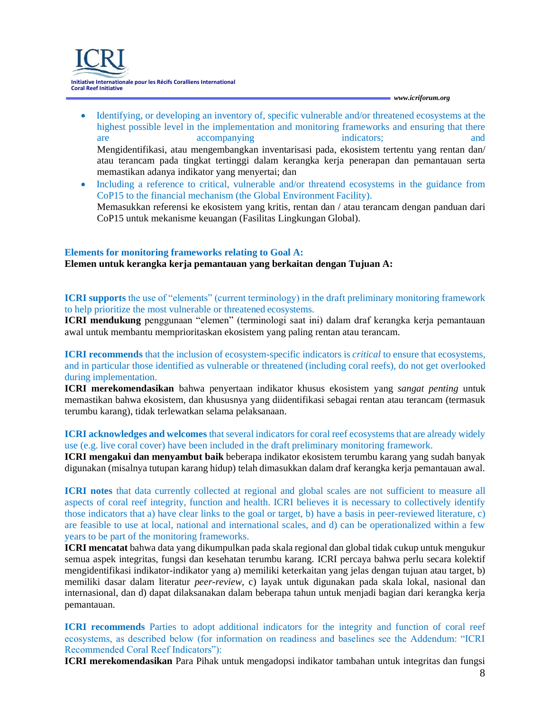**Initiative Internationale pour les Récifs Coralliens International Coral Reef Initiative**

*[www.icriforum.org](http://www.icriforum.org/)*

- Identifying, or developing an inventory of, specific vulnerable and/or threatened ecosystems at the highest possible level in the implementation and monitoring frameworks and ensuring that there are accompanying indicators; and and accompanying indicators; and indicators; and indicators; and indicators; and indicators; and indicators; and indicators; and indicators; and indicators; and indicators; and indicators; Mengidentifikasi, atau mengembangkan inventarisasi pada, ekosistem tertentu yang rentan dan/ atau terancam pada tingkat tertinggi dalam kerangka kerja penerapan dan pemantauan serta memastikan adanya indikator yang menyertai; dan
- Including a reference to critical, vulnerable and/or threatend ecosystems in the guidance from CoP15 to the financial mechanism (the Global Environment Facility). Memasukkan referensi ke ekosistem yang kritis, rentan dan / atau terancam dengan panduan dari CoP15 untuk mekanisme keuangan (Fasilitas Lingkungan Global).

#### **Elements for monitoring frameworks relating to Goal A:**

#### **Elemen untuk kerangka kerja pemantauan yang berkaitan dengan Tujuan A:**

**ICRI supports** the use of "elements" (current terminology) in the draft preliminary monitoring framework to help prioritize the most vulnerable or threatened ecosystems.

**ICRI mendukung** penggunaan "elemen" (terminologi saat ini) dalam draf kerangka kerja pemantauan awal untuk membantu memprioritaskan ekosistem yang paling rentan atau terancam.

**ICRI recommends** that the inclusion of ecosystem-specific indicators is *critical* to ensure that ecosystems, and in particular those identified as vulnerable or threatened (including coral reefs), do not get overlooked during implementation.

**ICRI merekomendasikan** bahwa penyertaan indikator khusus ekosistem yang *sangat penting* untuk memastikan bahwa ekosistem, dan khususnya yang diidentifikasi sebagai rentan atau terancam (termasuk terumbu karang), tidak terlewatkan selama pelaksanaan.

**ICRI acknowledges and welcomes** that several indicators for coral reef ecosystems that are already widely use (e.g. live coral cover) have been included in the draft preliminary monitoring framework.

**ICRI mengakui dan menyambut baik** beberapa indikator ekosistem terumbu karang yang sudah banyak digunakan (misalnya tutupan karang hidup) telah dimasukkan dalam draf kerangka kerja pemantauan awal.

**ICRI notes** that data currently collected at regional and global scales are not sufficient to measure all aspects of coral reef integrity, function and health. ICRI believes it is necessary to collectively identify those indicators that a) have clear links to the goal or target, b) have a basis in peer-reviewed literature, c) are feasible to use at local, national and international scales, and d) can be operationalized within a few years to be part of the monitoring frameworks.

**ICRI mencatat** bahwa data yang dikumpulkan pada skala regional dan global tidak cukup untuk mengukur semua aspek integritas, fungsi dan kesehatan terumbu karang. ICRI percaya bahwa perlu secara kolektif mengidentifikasi indikator-indikator yang a) memiliki keterkaitan yang jelas dengan tujuan atau target, b) memiliki dasar dalam literatur *peer-review*, c) layak untuk digunakan pada skala lokal, nasional dan internasional, dan d) dapat dilaksanakan dalam beberapa tahun untuk menjadi bagian dari kerangka kerja pemantauan.

**ICRI recommends** Parties to adopt additional indicators for the integrity and function of coral reef ecosystems, as described below (for information on readiness and baselines see the Addendum: "ICRI Recommended Coral Reef Indicators"):

**ICRI merekomendasikan** Para Pihak untuk mengadopsi indikator tambahan untuk integritas dan fungsi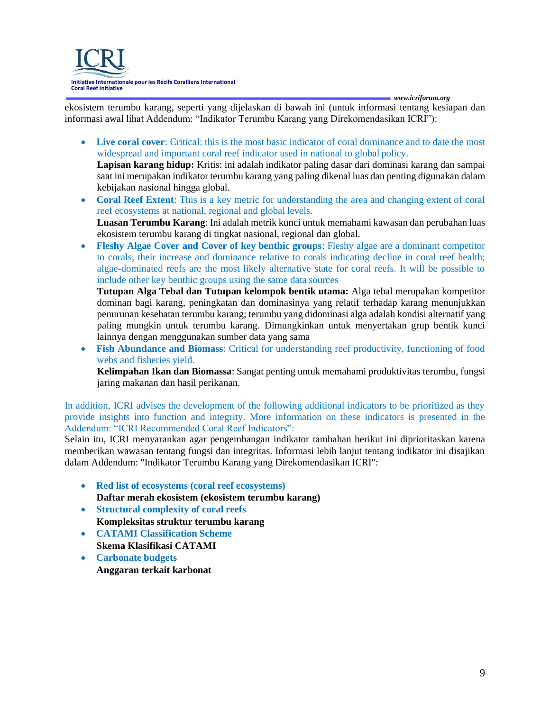

ekosistem terumbu karang, seperti yang dijelaskan di bawah ini (untuk informasi tentang kesiapan dan informasi awal lihat Addendum: "Indikator Terumbu Karang yang Direkomendasikan ICRI"):

- **Live coral cover**: Critical: this is the most basic indicator of coral dominance and to date the most widespread and important coral reef indicator used in national to global policy. **Lapisan karang hidup:** Kritis: ini adalah indikator paling dasar dari dominasi karang dan sampai saat ini merupakan indikator terumbu karang yang paling dikenal luas dan penting digunakan dalam
- kebijakan nasional hingga global. • **Coral Reef Extent**: This is a key metric for understanding the area and changing extent of coral reef ecosystems at national, regional and global levels. **Luasan Terumbu Karang**: Ini adalah metrik kunci untuk memahami kawasan dan perubahan luas ekosistem terumbu karang di tingkat nasional, regional dan global.
- **Fleshy Algae Cover and Cover of key benthic groups**: Fleshy algae are a dominant competitor to corals, their increase and dominance relative to corals indicating decline in coral reef health; algae-dominated reefs are the most likely alternative state for coral reefs. It will be possible to include other key benthic groups using the same data sources

**Tutupan Alga Tebal dan Tutupan kelompok bentik utama:** Alga tebal merupakan kompetitor dominan bagi karang, peningkatan dan dominasinya yang relatif terhadap karang menunjukkan penurunan kesehatan terumbu karang; terumbu yang didominasi alga adalah kondisi alternatif yang paling mungkin untuk terumbu karang. Dimungkinkan untuk menyertakan grup bentik kunci lainnya dengan menggunakan sumber data yang sama

**Fish Abundance and Biomass:** Critical for understanding reef productivity, functioning of food webs and fisheries yield.

**Kelimpahan Ikan dan Biomassa**: Sangat penting untuk memahami produktivitas terumbu, fungsi jaring makanan dan hasil perikanan.

In addition, ICRI advises the development of the following additional indicators to be prioritized as they provide insights into function and integrity. More information on these indicators is presented in the Addendum: "ICRI Recommended Coral Reef Indicators":

Selain itu, ICRI menyarankan agar pengembangan indikator tambahan berikut ini diprioritaskan karena memberikan wawasan tentang fungsi dan integritas. Informasi lebih lanjut tentang indikator ini disajikan dalam Addendum: "Indikator Terumbu Karang yang Direkomendasikan ICRI":

- **Red list of ecosystems (coral reef ecosystems) Daftar merah ekosistem (ekosistem terumbu karang)**
- **Structural complexity of coral reefs Kompleksitas struktur terumbu karang**
- **CATAMI Classification Scheme Skema Klasifikasi CATAMI**
- **Carbonate budgets Anggaran terkait karbonat**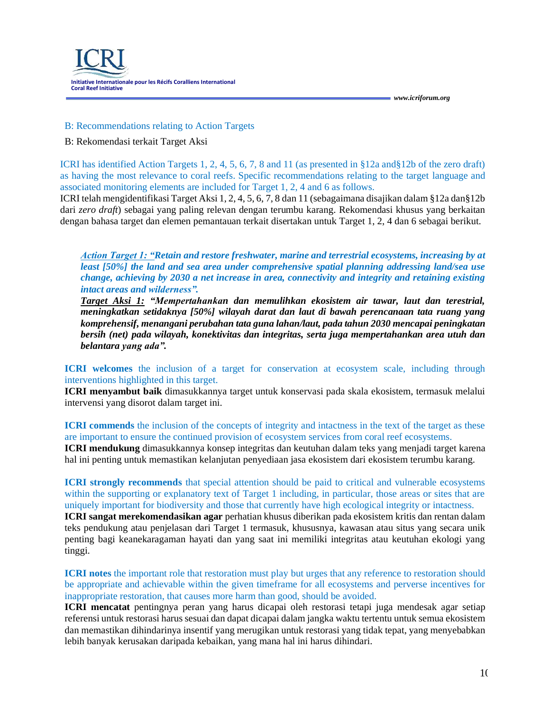

#### B: Recommendations relating to Action Targets

#### B: Rekomendasi terkait Target Aksi

ICRI has identified Action Targets 1, 2, 4, 5, 6, 7, 8 and 11 (as presented in §12a and§12b of the zero draft) as having the most relevance to coral reefs. Specific recommendations relating to the target language and associated monitoring elements are included for Target 1, 2, 4 and 6 as follows.

ICRI telah mengidentifikasi Target Aksi 1, 2, 4, 5, 6, 7, 8 dan 11 (sebagaimana disajikan dalam §12a dan§12b dari *zero draft*) sebagai yang paling relevan dengan terumbu karang. Rekomendasi khusus yang berkaitan dengan bahasa target dan elemen pemantauan terkait disertakan untuk Target 1, 2, 4 dan 6 sebagai berikut.

*Action Target 1: "Retain and restore freshwater, marine and terrestrial ecosystems, increasing by at least [50%] the land and sea area under comprehensive spatial planning addressing land/sea use change, achieving by 2030 a net increase in area, connectivity and integrity and retaining existing intact areas and wilderness".*

*Target Aksi 1: "Mempertahankan dan memulihkan ekosistem air tawar, laut dan terestrial, meningkatkan setidaknya [50%] wilayah darat dan laut di bawah perencanaan tata ruang yang komprehensif, menangani perubahan tata guna lahan/laut, pada tahun 2030 mencapai peningkatan bersih (net) pada wilayah, konektivitas dan integritas, serta juga mempertahankan area utuh dan belantara yang ada".*

**ICRI welcomes** the inclusion of a target for conservation at ecosystem scale, including through interventions highlighted in this target.

**ICRI menyambut baik** dimasukkannya target untuk konservasi pada skala ekosistem, termasuk melalui intervensi yang disorot dalam target ini.

**ICRI commends** the inclusion of the concepts of integrity and intactness in the text of the target as these are important to ensure the continued provision of ecosystem services from coral reef ecosystems.

**ICRI mendukung** dimasukkannya konsep integritas dan keutuhan dalam teks yang menjadi target karena hal ini penting untuk memastikan kelanjutan penyediaan jasa ekosistem dari ekosistem terumbu karang.

**ICRI strongly recommends** that special attention should be paid to critical and vulnerable ecosystems within the supporting or explanatory text of Target 1 including, in particular, those areas or sites that are uniquely important for biodiversity and those that currently have high ecological integrity or intactness.

**ICRI sangat merekomendasikan agar** perhatian khusus diberikan pada ekosistem kritis dan rentan dalam teks pendukung atau penjelasan dari Target 1 termasuk, khususnya, kawasan atau situs yang secara unik penting bagi keanekaragaman hayati dan yang saat ini memiliki integritas atau keutuhan ekologi yang tinggi.

**ICRI notes** the important role that restoration must play but urges that any reference to restoration should be appropriate and achievable within the given timeframe for all ecosystems and perverse incentives for inappropriate restoration, that causes more harm than good, should be avoided.

**ICRI mencatat** pentingnya peran yang harus dicapai oleh restorasi tetapi juga mendesak agar setiap referensi untuk restorasi harus sesuai dan dapat dicapai dalam jangka waktu tertentu untuk semua ekosistem dan memastikan dihindarinya insentif yang merugikan untuk restorasi yang tidak tepat, yang menyebabkan lebih banyak kerusakan daripada kebaikan, yang mana hal ini harus dihindari.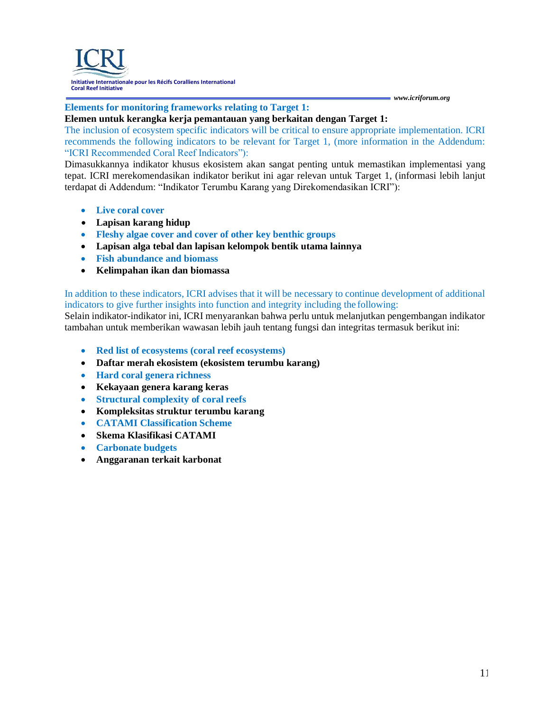#### **Elements for monitoring frameworks relating to Target 1:**

#### **Elemen untuk kerangka kerja pemantauan yang berkaitan dengan Target 1:**

The inclusion of ecosystem specific indicators will be critical to ensure appropriate implementation. ICRI recommends the following indicators to be relevant for Target 1, (more information in the Addendum: "ICRI Recommended Coral Reef Indicators"):

Dimasukkannya indikator khusus ekosistem akan sangat penting untuk memastikan implementasi yang tepat. ICRI merekomendasikan indikator berikut ini agar relevan untuk Target 1, (informasi lebih lanjut terdapat di Addendum: "Indikator Terumbu Karang yang Direkomendasikan ICRI"):

- **Live coral cover**
- **Lapisan karang hidup**
- **Fleshy algae cover and cover of other key benthic groups**
- **Lapisan alga tebal dan lapisan kelompok bentik utama lainnya**
- **Fish abundance and biomass**
- **Kelimpahan ikan dan biomassa**

In addition to these indicators, ICRI advises that it will be necessary to continue development of additional indicators to give further insights into function and integrity including the following:

Selain indikator-indikator ini, ICRI menyarankan bahwa perlu untuk melanjutkan pengembangan indikator tambahan untuk memberikan wawasan lebih jauh tentang fungsi dan integritas termasuk berikut ini:

- **Red list of ecosystems (coral reef ecosystems)**
- **Daftar merah ekosistem (ekosistem terumbu karang)**
- **Hard coral genera richness**
- **Kekayaan genera karang keras**
- **Structural complexity of coral reefs**
- **Kompleksitas struktur terumbu karang**
- **CATAMI Classification Scheme**
- **Skema Klasifikasi CATAMI**
- **Carbonate budgets**
- **Anggaranan terkait karbonat**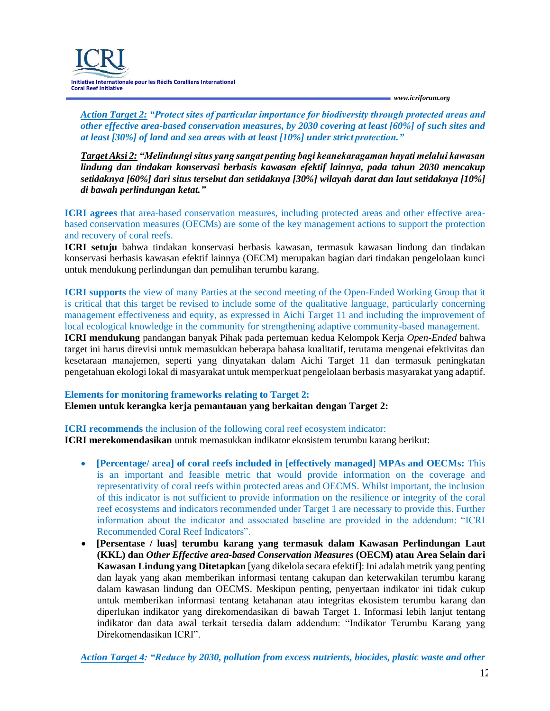

*Action Target 2: "Protect sites of particular importance for biodiversity through protected areas and other effective area-based conservation measures, by 2030 covering at least [60%] of such sites and at least [30%] of land and sea areas with at least [10%] under strict protection."*

*Target Aksi 2: "Melindungi situs yang sangat penting bagi keanekaragaman hayati melalui kawasan lindung dan tindakan konservasi berbasis kawasan efektif lainnya, pada tahun 2030 mencakup setidaknya [60%] dari situs tersebut dan setidaknya [30%] wilayah darat dan laut setidaknya [10%] di bawah perlindungan ketat."*

**ICRI agrees** that area-based conservation measures, including protected areas and other effective areabased conservation measures (OECMs) are some of the key management actions to support the protection and recovery of coral reefs.

**ICRI setuju** bahwa tindakan konservasi berbasis kawasan, termasuk kawasan lindung dan tindakan konservasi berbasis kawasan efektif lainnya (OECM) merupakan bagian dari tindakan pengelolaan kunci untuk mendukung perlindungan dan pemulihan terumbu karang.

**ICRI supports** the view of many Parties at the second meeting of the Open-Ended Working Group that it is critical that this target be revised to include some of the qualitative language, particularly concerning management effectiveness and equity, as expressed in Aichi Target 11 and including the improvement of local ecological knowledge in the community for strengthening adaptive community-based management.

**ICRI mendukung** pandangan banyak Pihak pada pertemuan kedua Kelompok Kerja *Open-Ended* bahwa target ini harus direvisi untuk memasukkan beberapa bahasa kualitatif, terutama mengenai efektivitas dan kesetaraan manajemen, seperti yang dinyatakan dalam Aichi Target 11 dan termasuk peningkatan pengetahuan ekologi lokal di masyarakat untuk memperkuat pengelolaan berbasis masyarakat yang adaptif.

#### **Elements for monitoring frameworks relating to Target 2: Elemen untuk kerangka kerja pemantauan yang berkaitan dengan Target 2:**

**ICRI recommends** the inclusion of the following coral reef ecosystem indicator: **ICRI merekomendasikan** untuk memasukkan indikator ekosistem terumbu karang berikut:

- **[Percentage/ area] of coral reefs included in [effectively managed] MPAs and OECMs:** This is an important and feasible metric that would provide information on the coverage and representativity of coral reefs within protected areas and OECMS. Whilst important, the inclusion of this indicator is not sufficient to provide information on the resilience or integrity of the coral reef ecosystems and indicators recommended under Target 1 are necessary to provide this. Further information about the indicator and associated baseline are provided in the addendum: "ICRI Recommended Coral Reef Indicators".
- **[Persentase / luas] terumbu karang yang termasuk dalam Kawasan Perlindungan Laut (KKL) dan** *Other Effective area-based Conservation Measures* **(OECM) atau Area Selain dari Kawasan Lindung yang Ditetapkan** [yang dikelola secara efektif]: Ini adalah metrik yang penting dan layak yang akan memberikan informasi tentang cakupan dan keterwakilan terumbu karang dalam kawasan lindung dan OECMS. Meskipun penting, penyertaan indikator ini tidak cukup untuk memberikan informasi tentang ketahanan atau integritas ekosistem terumbu karang dan diperlukan indikator yang direkomendasikan di bawah Target 1. Informasi lebih lanjut tentang indikator dan data awal terkait tersedia dalam addendum: "Indikator Terumbu Karang yang Direkomendasikan ICRI".

*Action Target 4: "Reduce by 2030, pollution from excess nutrients, biocides, plastic waste and other*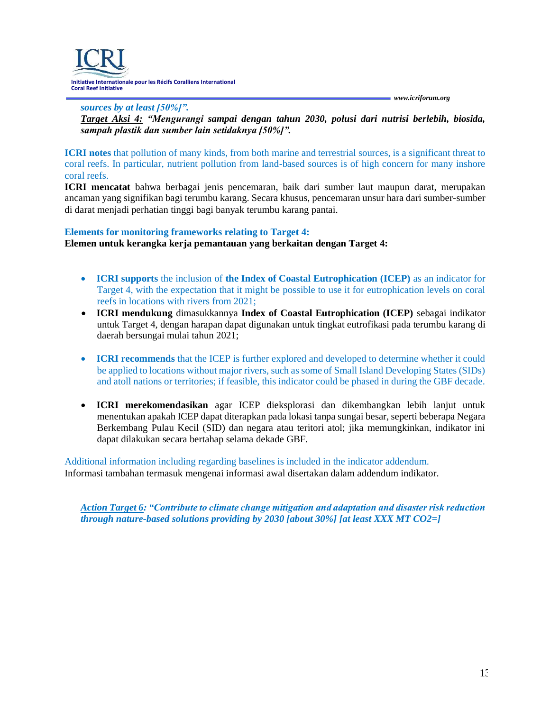**Initiative Internationale pour les Récifs Coralliens International Coral Reef Initiative**

*[www.icriforum.org](http://www.icriforum.org/)*

*sources by at least [50%]". Target Aksi 4: "Mengurangi sampai dengan tahun 2030, polusi dari nutrisi berlebih, biosida, sampah plastik dan sumber lain setidaknya [50%]".*

**ICRI notes** that pollution of many kinds, from both marine and terrestrial sources, is a significant threat to coral reefs. In particular, nutrient pollution from land-based sources is of high concern for many inshore coral reefs.

**ICRI mencatat** bahwa berbagai jenis pencemaran, baik dari sumber laut maupun darat, merupakan ancaman yang signifikan bagi terumbu karang. Secara khusus, pencemaran unsur hara dari sumber-sumber di darat menjadi perhatian tinggi bagi banyak terumbu karang pantai.

#### **Elements for monitoring frameworks relating to Target 4:**

**Elemen untuk kerangka kerja pemantauan yang berkaitan dengan Target 4:**

- **ICRI supports** the inclusion of **the Index of Coastal Eutrophication (ICEP)** as an indicator for Target 4, with the expectation that it might be possible to use it for eutrophication levels on coral reefs in locations with rivers from 2021;
- **ICRI mendukung** dimasukkannya **Index of Coastal Eutrophication (ICEP)** sebagai indikator untuk Target 4, dengan harapan dapat digunakan untuk tingkat eutrofikasi pada terumbu karang di daerah bersungai mulai tahun 2021;
- **ICRI recommends** that the ICEP is further explored and developed to determine whether it could be applied to locations without major rivers, such as some of Small Island Developing States (SIDs) and atoll nations or territories; if feasible, this indicator could be phased in during the GBF decade.
- **ICRI merekomendasikan** agar ICEP dieksplorasi dan dikembangkan lebih lanjut untuk menentukan apakah ICEP dapat diterapkan pada lokasi tanpa sungai besar, seperti beberapa Negara Berkembang Pulau Kecil (SID) dan negara atau teritori atol; jika memungkinkan, indikator ini dapat dilakukan secara bertahap selama dekade GBF.

Additional information including regarding baselines is included in the indicator addendum. Informasi tambahan termasuk mengenai informasi awal disertakan dalam addendum indikator.

*Action Target 6: "Contribute to climate change mitigation and adaptation and disaster risk reduction through nature-based solutions providing by 2030 [about 30%] [at least XXX MT CO2=]*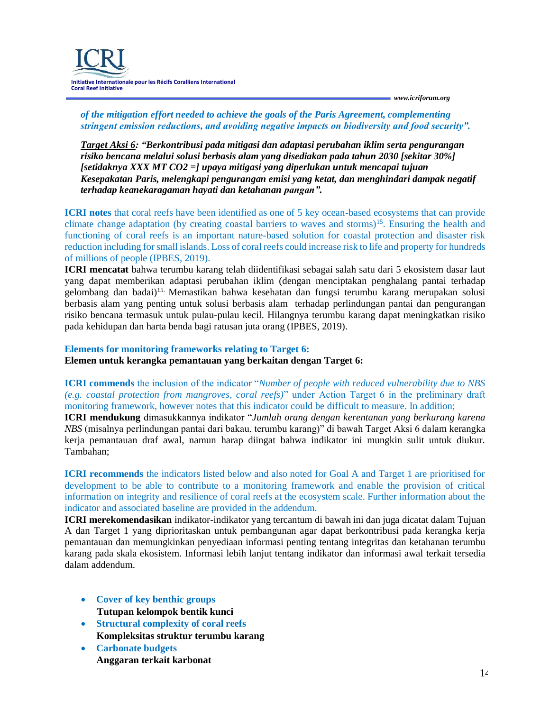**Initiative Internationale pour les Récifs Coralliens International Coral Reef Initiative**

*[www.icriforum.org](http://www.icriforum.org/)*

*of the mitigation effort needed to achieve the goals of the Paris Agreement, complementing stringent emission reductions, and avoiding negative impacts on biodiversity and food security".*

*Target Aksi 6: "Berkontribusi pada mitigasi dan adaptasi perubahan iklim serta pengurangan risiko bencana melalui solusi berbasis alam yang disediakan pada tahun 2030 [sekitar 30%] [setidaknya XXX MT CO2 =] upaya mitigasi yang diperlukan untuk mencapai tujuan Kesepakatan Paris, melengkapi pengurangan emisi yang ketat, dan menghindari dampak negatif terhadap keanekaragaman hayati dan ketahanan pangan".*

**ICRI notes** that coral reefs have been identified as one of 5 key ocean-based ecosystems that can provide climate change adaptation (by creating coastal barriers to waves and storms)<sup>15</sup>. Ensuring the health and functioning of coral reefs is an important nature-based solution for coastal protection and disaster risk reduction including for small islands. Loss of coral reefs could increase risk to life and property for hundreds of millions of people (IPBES, 2019).

**ICRI mencatat** bahwa terumbu karang telah diidentifikasi sebagai salah satu dari 5 ekosistem dasar laut yang dapat memberikan adaptasi perubahan iklim (dengan menciptakan penghalang pantai terhadap gelombang dan badai)15. Memastikan bahwa kesehatan dan fungsi terumbu karang merupakan solusi berbasis alam yang penting untuk solusi berbasis alam terhadap perlindungan pantai dan pengurangan risiko bencana termasuk untuk pulau-pulau kecil. Hilangnya terumbu karang dapat meningkatkan risiko pada kehidupan dan harta benda bagi ratusan juta orang (IPBES, 2019).

## **Elements for monitoring frameworks relating to Target 6: Elemen untuk kerangka pemantauan yang berkaitan dengan Target 6:**

**ICRI commends** the inclusion of the indicator "*Number of people with reduced vulnerability due to NBS (e.g. coastal protection from mangroves, coral reefs)*" under Action Target 6 in the preliminary draft monitoring framework, however notes that this indicator could be difficult to measure. In addition;

**ICRI mendukung** dimasukkannya indikator "*Jumlah orang dengan kerentanan yang berkurang karena NBS* (misalnya perlindungan pantai dari bakau, terumbu karang)" di bawah Target Aksi 6 dalam kerangka kerja pemantauan draf awal, namun harap diingat bahwa indikator ini mungkin sulit untuk diukur. Tambahan;

**ICRI recommends** the indicators listed below and also noted for Goal A and Target 1 are prioritised for development to be able to contribute to a monitoring framework and enable the provision of critical information on integrity and resilience of coral reefs at the ecosystem scale. Further information about the indicator and associated baseline are provided in the addendum.

**ICRI merekomendasikan** indikator-indikator yang tercantum di bawah ini dan juga dicatat dalam Tujuan A dan Target 1 yang diprioritaskan untuk pembangunan agar dapat berkontribusi pada kerangka kerja pemantauan dan memungkinkan penyediaan informasi penting tentang integritas dan ketahanan terumbu karang pada skala ekosistem. Informasi lebih lanjut tentang indikator dan informasi awal terkait tersedia dalam addendum.

- **Cover of key benthic groups Tutupan kelompok bentik kunci**
- **Structural complexity of coral reefs Kompleksitas struktur terumbu karang**
- **Carbonate budgets Anggaran terkait karbonat**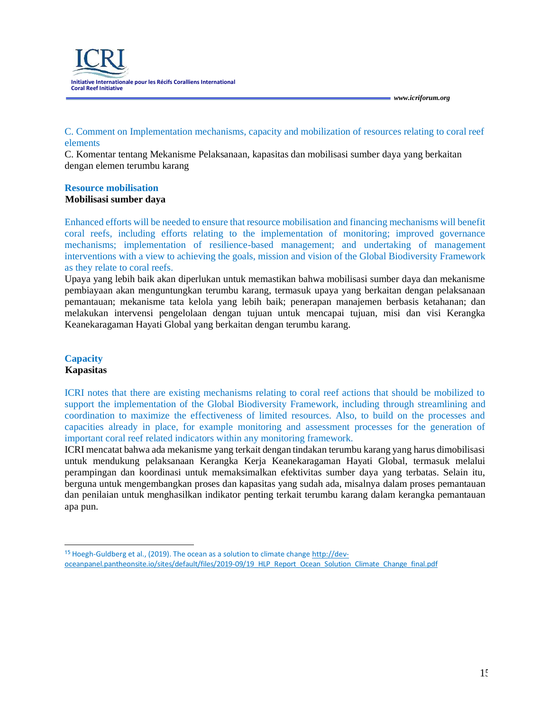**Initiative Internationale pour les Récifs Coralliens International Coral Reef Initiative**

## C. Comment on Implementation mechanisms, capacity and mobilization of resources relating to coral reef elements

C. Komentar tentang Mekanisme Pelaksanaan, kapasitas dan mobilisasi sumber daya yang berkaitan dengan elemen terumbu karang

#### **Resource mobilisation Mobilisasi sumber daya**

Enhanced efforts will be needed to ensure that resource mobilisation and financing mechanisms will benefit coral reefs, including efforts relating to the implementation of monitoring; improved governance mechanisms; implementation of resilience-based management; and undertaking of management interventions with a view to achieving the goals, mission and vision of the Global Biodiversity Framework as they relate to coral reefs.

Upaya yang lebih baik akan diperlukan untuk memastikan bahwa mobilisasi sumber daya dan mekanisme pembiayaan akan menguntungkan terumbu karang, termasuk upaya yang berkaitan dengan pelaksanaan pemantauan; mekanisme tata kelola yang lebih baik; penerapan manajemen berbasis ketahanan; dan melakukan intervensi pengelolaan dengan tujuan untuk mencapai tujuan, misi dan visi Kerangka Keanekaragaman Hayati Global yang berkaitan dengan terumbu karang.

#### **Capacity Kapasitas**

ICRI notes that there are existing mechanisms relating to coral reef actions that should be mobilized to support the implementation of the Global Biodiversity Framework, including through streamlining and coordination to maximize the effectiveness of limited resources. Also, to build on the processes and capacities already in place, for example monitoring and assessment processes for the generation of important coral reef related indicators within any monitoring framework.

ICRI mencatat bahwa ada mekanisme yang terkait dengan tindakan terumbu karang yang harus dimobilisasi untuk mendukung pelaksanaan Kerangka Kerja Keanekaragaman Hayati Global, termasuk melalui perampingan dan koordinasi untuk memaksimalkan efektivitas sumber daya yang terbatas. Selain itu, berguna untuk mengembangkan proses dan kapasitas yang sudah ada, misalnya dalam proses pemantauan dan penilaian untuk menghasilkan indikator penting terkait terumbu karang dalam kerangka pemantauan apa pun.

<sup>15</sup> Hoegh-Guldberg et al., (2019). The ocean as a solution to climate chang[e http://dev](http://dev-/)oceanpanel.pantheonsite.io/sites/default/files/2019-09/19\_HLP\_Report\_Ocean\_Solution\_Climate\_Change\_final.pdf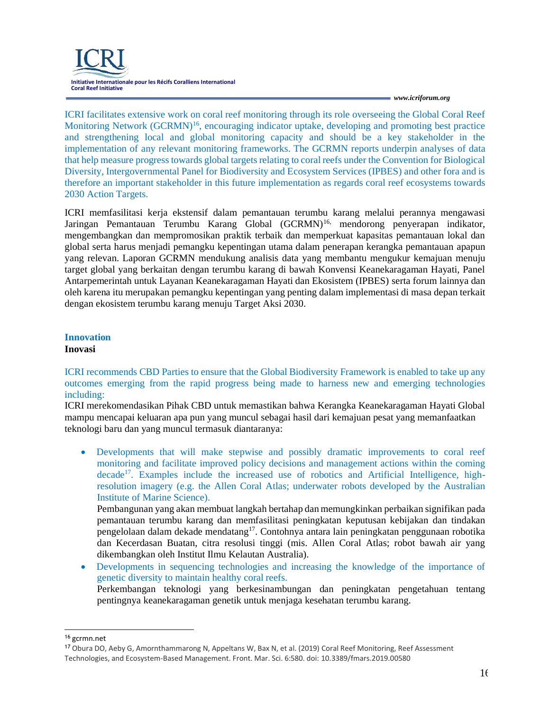

ICRI facilitates extensive work on coral reef monitoring through its role overseeing the Global Coral Reef Monitoring Network  $(GCRMN)^{16}$ , encouraging indicator uptake, developing and promoting best practice and strengthening local and global monitoring capacity and should be a key stakeholder in the implementation of any relevant monitoring frameworks. The GCRMN reports underpin analyses of data that help measure progress towards global targets relating to coral reefs under the Convention for Biological Diversity, Intergovernmental Panel for Biodiversity and Ecosystem Services (IPBES) and other fora and is therefore an important stakeholder in this future implementation as regards coral reef ecosystems towards 2030 Action Targets.

ICRI memfasilitasi kerja ekstensif dalam pemantauan terumbu karang melalui perannya mengawasi Jaringan Pemantauan Terumbu Karang Global (GCRMN)<sup>16,</sup> mendorong penyerapan indikator, mengembangkan dan mempromosikan praktik terbaik dan memperkuat kapasitas pemantauan lokal dan global serta harus menjadi pemangku kepentingan utama dalam penerapan kerangka pemantauan apapun yang relevan. Laporan GCRMN mendukung analisis data yang membantu mengukur kemajuan menuju target global yang berkaitan dengan terumbu karang di bawah Konvensi Keanekaragaman Hayati, Panel Antarpemerintah untuk Layanan Keanekaragaman Hayati dan Ekosistem (IPBES) serta forum lainnya dan oleh karena itu merupakan pemangku kepentingan yang penting dalam implementasi di masa depan terkait dengan ekosistem terumbu karang menuju Target Aksi 2030.

# **Innovation**

#### **Inovasi**

ICRI recommends CBD Parties to ensure that the Global Biodiversity Framework is enabled to take up any outcomes emerging from the rapid progress being made to harness new and emerging technologies including:

ICRI merekomendasikan Pihak CBD untuk memastikan bahwa Kerangka Keanekaragaman Hayati Global mampu mencapai keluaran apa pun yang muncul sebagai hasil dari kemajuan pesat yang memanfaatkan teknologi baru dan yang muncul termasuk diantaranya:

• Developments that will make stepwise and possibly dramatic improvements to coral reef monitoring and facilitate improved policy decisions and management actions within the coming decade<sup>17</sup>. Examples include the increased use of robotics and Artificial Intelligence, highresolution imagery (e.g. the Allen Coral Atlas; underwater robots developed by the Australian Institute of Marine Science).

Pembangunan yang akan membuat langkah bertahap dan memungkinkan perbaikan signifikan pada pemantauan terumbu karang dan memfasilitasi peningkatan keputusan kebijakan dan tindakan pengelolaan dalam dekade mendatang<sup>17</sup>. Contohnya antara lain peningkatan penggunaan robotika dan Kecerdasan Buatan, citra resolusi tinggi (mis. Allen Coral Atlas; robot bawah air yang dikembangkan oleh Institut Ilmu Kelautan Australia).

• Developments in sequencing technologies and increasing the knowledge of the importance of genetic diversity to maintain healthy coral reefs. Perkembangan teknologi yang berkesinambungan dan peningkatan pengetahuan tentang pentingnya keanekaragaman genetik untuk menjaga kesehatan terumbu karang.

<sup>16</sup> gcrmn.net

<sup>&</sup>lt;sup>17</sup> Obura DO, Aeby G, Amornthammarong N, Appeltans W, Bax N, et al. (2019) Coral Reef Monitoring, Reef Assessment Technologies, and Ecosystem-Based Management. Front. Mar. Sci. 6:580. doi: 10.3389/fmars.2019.00580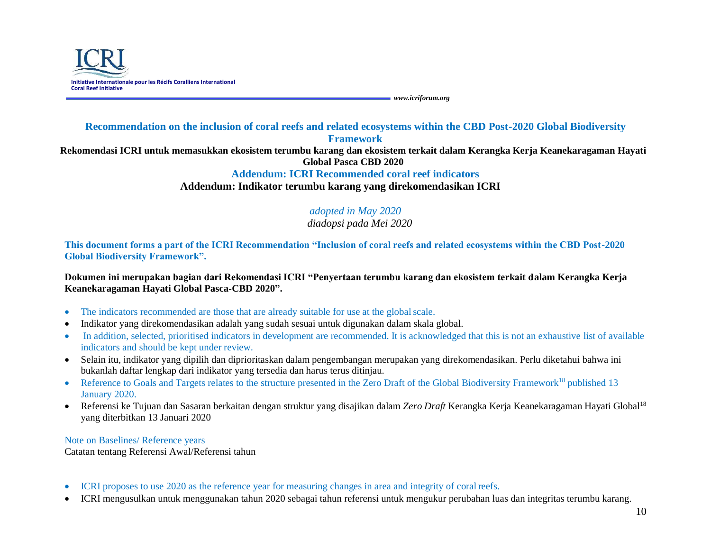

## **Recommendation on the inclusion of coral reefs and related ecosystems within the CBD Post-2020 Global Biodiversity Framework Rekomendasi ICRI untuk memasukkan ekosistem terumbu karang dan ekosistem terkait dalam Kerangka Kerja Keanekaragaman Hayati Global Pasca CBD 2020 Addendum: ICRI Recommended coral reef indicators Addendum: Indikator terumbu karang yang direkomendasikan ICRI**

# *adopted in May 2020*

## *diadopsi pada Mei 2020*

**This document forms a part of the ICRI Recommendation "Inclusion of coral reefs and related ecosystems within the CBD Post-2020 Global Biodiversity Framework".**

**Dokumen ini merupakan bagian dari Rekomendasi ICRI "Penyertaan terumbu karang dan ekosistem terkait dalam Kerangka Kerja Keanekaragaman Hayati Global Pasca-CBD 2020".**

- The indicators recommended are those that are already suitable for use at the global scale.
- Indikator yang direkomendasikan adalah yang sudah sesuai untuk digunakan dalam skala global.
- In addition, selected, prioritised indicators in development are recommended. It is acknowledged that this is not an exhaustive list of available indicators and should be kept under review.
- Selain itu, indikator yang dipilih dan diprioritaskan dalam pengembangan merupakan yang direkomendasikan. Perlu diketahui bahwa ini bukanlah daftar lengkap dari indikator yang tersedia dan harus terus ditinjau.
- Reference to Goals and Targets relates to the structure presented in the Zero Draft of the Global Biodiversity Framework<sup>18</sup> published 13 January 2020.
- Referensi ke Tujuan dan Sasaran berkaitan dengan struktur yang disajikan dalam *Zero Draft* Kerangka Kerja Keanekaragaman Hayati Global<sup>18</sup> yang diterbitkan 13 Januari 2020

Note on Baselines/ Reference years

Catatan tentang Referensi Awal/Referensi tahun

- ICRI proposes to use 2020 as the reference year for measuring changes in area and integrity of coralreefs.
- ICRI mengusulkan untuk menggunakan tahun 2020 sebagai tahun referensi untuk mengukur perubahan luas dan integritas terumbu karang.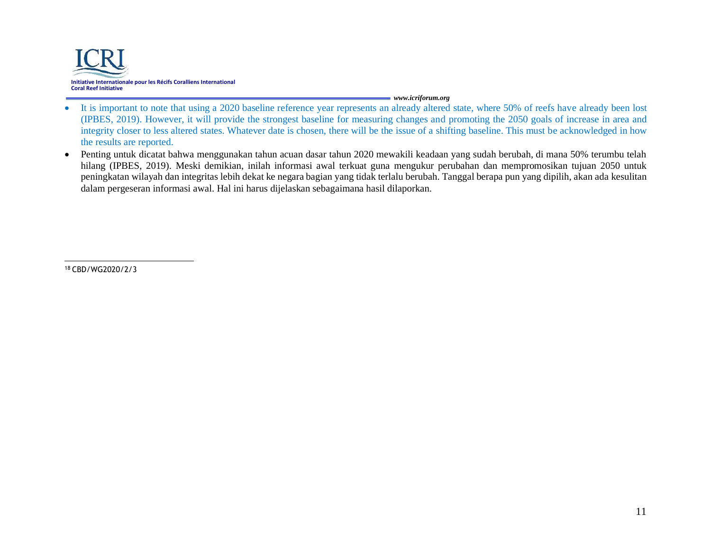

- It is important to note that using a 2020 baseline reference year represents an already altered state, where 50% of reefs have already been lost (IPBES, 2019). However, it will provide the strongest baseline for measuring changes and promoting the 2050 goals of increase in area and integrity closer to less altered states. Whatever date is chosen, there will be the issue of a shifting baseline. This must be acknowledged in how the results are reported.
- Penting untuk dicatat bahwa menggunakan tahun acuan dasar tahun 2020 mewakili keadaan yang sudah berubah, di mana 50% terumbu telah hilang (IPBES, 2019). Meski demikian, inilah informasi awal terkuat guna mengukur perubahan dan mempromosikan tujuan 2050 untuk peningkatan wilayah dan integritas lebih dekat ke negara bagian yang tidak terlalu berubah. Tanggal berapa pun yang dipilih, akan ada kesulitan dalam pergeseran informasi awal. Hal ini harus dijelaskan sebagaimana hasil dilaporkan.

18 CBD/WG2020/2/3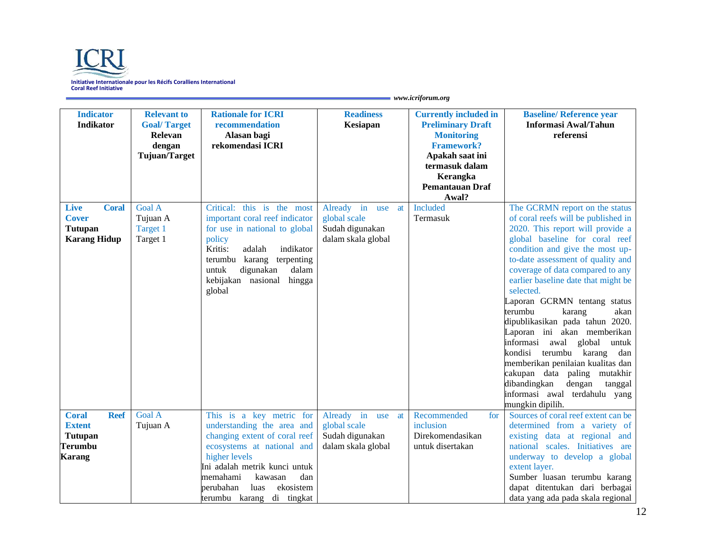

| <b>Indicator</b><br><b>Indikator</b>                                                              | <b>Relevant to</b><br><b>Goal/Target</b><br>Relevan<br>dengan<br>Tujuan/Target | <b>Rationale for ICRI</b><br>recommendation<br>Alasan bagi<br>rekomendasi ICRI                                                                                                                                                                                       | <b>Readiness</b><br>Kesiapan                                                     | <b>Currently included in</b><br><b>Preliminary Draft</b><br><b>Monitoring</b><br><b>Framework?</b><br>Apakah saat ini<br>termasuk dalam<br>Kerangka<br><b>Pemantauan Draf</b><br>Awal? | <b>Baseline/Reference year</b><br><b>Informasi Awal/Tahun</b><br>referensi                                                                                                                                                                                                                                                                                                                                                                                                                                                                                                                                                                                                            |
|---------------------------------------------------------------------------------------------------|--------------------------------------------------------------------------------|----------------------------------------------------------------------------------------------------------------------------------------------------------------------------------------------------------------------------------------------------------------------|----------------------------------------------------------------------------------|----------------------------------------------------------------------------------------------------------------------------------------------------------------------------------------|---------------------------------------------------------------------------------------------------------------------------------------------------------------------------------------------------------------------------------------------------------------------------------------------------------------------------------------------------------------------------------------------------------------------------------------------------------------------------------------------------------------------------------------------------------------------------------------------------------------------------------------------------------------------------------------|
| <b>Coral</b><br><b>Live</b><br><b>Cover</b><br><b>Tutupan</b><br><b>Karang Hidup</b>              | <b>Goal A</b><br>Tujuan A<br>Target 1<br>Target 1                              | Critical: this is the most<br>important coral reef indicator<br>for use in national to global<br>policy<br>Kritis:<br>indikator<br>adalah<br>karang<br>terpenting<br>terumbu<br>untuk<br>dalam<br>digunakan<br>kebijakan nasional<br>hingga<br>global                | Already in<br>use at<br>global scale<br>Sudah digunakan<br>dalam skala global    | Included<br>Termasuk                                                                                                                                                                   | The GCRMN report on the status<br>of coral reefs will be published in<br>2020. This report will provide a<br>global baseline for coral reef<br>condition and give the most up-<br>to-date assessment of quality and<br>coverage of data compared to any<br>earlier baseline date that might be<br>selected.<br>Laporan GCRMN tentang status<br>terumbu<br>karang<br>akan<br>dipublikasikan pada tahun 2020.<br>Laporan ini akan memberikan<br>informasi<br>awal global<br>untuk<br>terumbu<br>kondisi<br>karang<br>dan<br>memberikan penilaian kualitas dan<br>cakupan data paling mutakhir<br>dibandingkan<br>dengan<br>tanggal<br>informasi awal terdahulu yang<br>mungkin dipilih. |
| <b>Reef</b><br><b>Coral</b><br><b>Extent</b><br><b>Tutupan</b><br><b>Terumbu</b><br><b>Karang</b> | <b>Goal A</b><br>Tujuan A                                                      | This is a key metric for<br>understanding the area and<br>changing extent of coral reef<br>ecosystems at national and<br>higher levels<br>Ini adalah metrik kunci untuk<br>memahami<br>kawasan<br>dan<br>ekosistem<br>perubahan<br>luas<br>terumbu karang di tingkat | Already in<br>at<br>use<br>global scale<br>Sudah digunakan<br>dalam skala global | Recommended<br>for<br>inclusion<br>Direkomendasikan<br>untuk disertakan                                                                                                                | Sources of coral reef extent can be<br>determined from a variety of<br>existing data at regional and<br>national scales. Initiatives are<br>underway to develop a global<br>extent layer.<br>Sumber luasan terumbu karang<br>dapat ditentukan dari berbagai<br>data yang ada pada skala regional                                                                                                                                                                                                                                                                                                                                                                                      |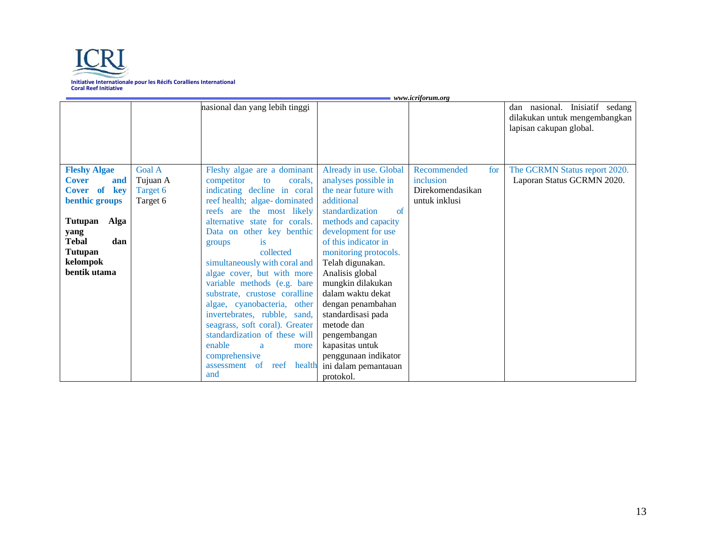

|                                                                                                                                                                          |                                                   | nasional dan yang lebih tinggi                                                                                                                                                                                                                                                                                                                                                                                                                                                                                            |                                                                                                                                                                                                                                                                                                                                                                         | www.icryorum.org                                              | dan nasional. Inisiatif sedang<br>dilakukan untuk mengembangkan<br>lapisan cakupan global. |
|--------------------------------------------------------------------------------------------------------------------------------------------------------------------------|---------------------------------------------------|---------------------------------------------------------------------------------------------------------------------------------------------------------------------------------------------------------------------------------------------------------------------------------------------------------------------------------------------------------------------------------------------------------------------------------------------------------------------------------------------------------------------------|-------------------------------------------------------------------------------------------------------------------------------------------------------------------------------------------------------------------------------------------------------------------------------------------------------------------------------------------------------------------------|---------------------------------------------------------------|--------------------------------------------------------------------------------------------|
| <b>Fleshy Algae</b><br><b>Cover</b><br>and<br>Cover of<br>key<br>benthic groups<br>Tutupan<br>Alga<br>yang<br><b>Tebal</b><br>dan<br>Tutupan<br>kelompok<br>bentik utama | <b>Goal A</b><br>Tujuan A<br>Target 6<br>Target 6 | Fleshy algae are a dominant<br>competitor<br>corals,<br>to<br>indicating decline in coral<br>reef health; algae-dominated<br>reefs are the most likely<br>alternative state for corals.<br>Data on other key benthic<br><i>is</i><br>groups<br>collected<br>simultaneously with coral and<br>algae cover, but with more<br>variable methods (e.g. bare<br>substrate, crustose coralline<br>algae, cyanobacteria, other<br>invertebrates, rubble, sand,<br>seagrass, soft coral). Greater<br>standardization of these will | Already in use. Global<br>analyses possible in<br>the near future with<br>additional<br>standardization<br>of<br>methods and capacity<br>development for use<br>of this indicator in<br>monitoring protocols.<br>Telah digunakan.<br>Analisis global<br>mungkin dilakukan<br>dalam waktu dekat<br>dengan penambahan<br>standardisasi pada<br>metode dan<br>pengembangan | Recommended<br>inclusion<br>Direkomendasikan<br>untuk inklusi | The GCRMN Status report 2020.<br>for<br>Laporan Status GCRMN 2020.                         |
|                                                                                                                                                                          |                                                   | enable<br>more<br>a<br>comprehensive<br>reef<br>health<br><sub>of</sub><br>assessment<br>and                                                                                                                                                                                                                                                                                                                                                                                                                              | kapasitas untuk<br>penggunaan indikator<br>ini dalam pemantauan<br>protokol.                                                                                                                                                                                                                                                                                            |                                                               |                                                                                            |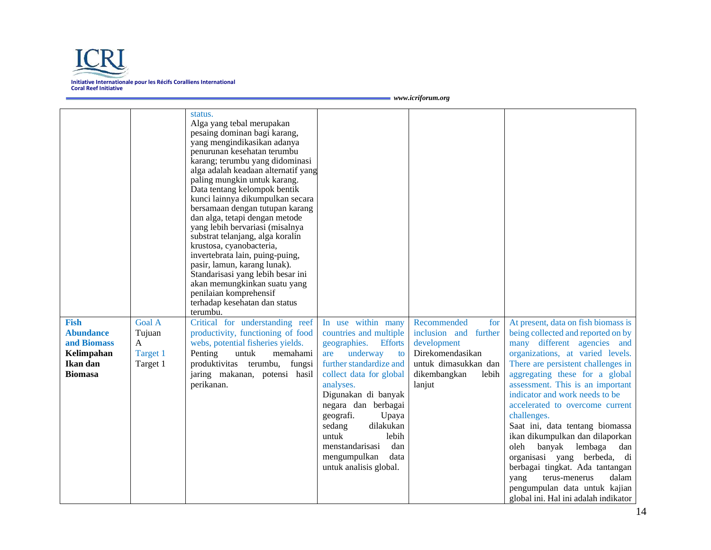

| <b>Fish</b><br><b>Abundance</b><br>and Biomass<br>Kelimpahan<br>Ikan dan | <b>Goal A</b><br>Tujuan<br>A<br>Target 1<br>Target 1 | status.<br>Alga yang tebal merupakan<br>pesaing dominan bagi karang,<br>yang mengindikasikan adanya<br>penurunan kesehatan terumbu<br>karang; terumbu yang didominasi<br>alga adalah keadaan alternatif yang<br>paling mungkin untuk karang.<br>Data tentang kelompok bentik<br>kunci lainnya dikumpulkan secara<br>bersamaan dengan tutupan karang<br>dan alga, tetapi dengan metode<br>yang lebih bervariasi (misalnya<br>substrat telanjang, alga koralin<br>krustosa, cyanobacteria,<br>invertebrata lain, puing-puing,<br>pasir, lamun, karang lunak).<br>Standarisasi yang lebih besar ini<br>akan memungkinkan suatu yang<br>penilaian komprehensif<br>terhadap kesehatan dan status<br>terumbu.<br>Critical for understanding reef<br>productivity, functioning of food<br>webs, potential fisheries yields.<br>Penting<br>untuk<br>memahami<br>produktivitas terumbu, fungsi | In use within many<br>countries and multiple<br>geographies.<br><b>Efforts</b><br>underway<br>are<br>to<br>further standardize and                                                                                            | Recommended<br>for<br>inclusion and further<br>development<br>Direkomendasikan<br>untuk dimasukkan dan | At present, data on fish biomass is<br>being collected and reported on by<br>many different agencies and<br>organizations, at varied levels.<br>There are persistent challenges in                                                                                                                                                                                                                                                         |  |  |
|--------------------------------------------------------------------------|------------------------------------------------------|---------------------------------------------------------------------------------------------------------------------------------------------------------------------------------------------------------------------------------------------------------------------------------------------------------------------------------------------------------------------------------------------------------------------------------------------------------------------------------------------------------------------------------------------------------------------------------------------------------------------------------------------------------------------------------------------------------------------------------------------------------------------------------------------------------------------------------------------------------------------------------------|-------------------------------------------------------------------------------------------------------------------------------------------------------------------------------------------------------------------------------|--------------------------------------------------------------------------------------------------------|--------------------------------------------------------------------------------------------------------------------------------------------------------------------------------------------------------------------------------------------------------------------------------------------------------------------------------------------------------------------------------------------------------------------------------------------|--|--|
| <b>Biomasa</b>                                                           |                                                      | jaring makanan, potensi hasil<br>perikanan.                                                                                                                                                                                                                                                                                                                                                                                                                                                                                                                                                                                                                                                                                                                                                                                                                                           | collect data for global<br>analyses.<br>Digunakan di banyak<br>negara dan berbagai<br>geografi.<br>Upaya<br>dilakukan<br>sedang<br>untuk<br>lebih<br>menstandarisasi<br>dan<br>mengumpulkan<br>data<br>untuk analisis global. | dikembangkan<br>lebih<br>lanjut                                                                        | aggregating these for a global<br>assessment. This is an important<br>indicator and work needs to be<br>accelerated to overcome current<br>challenges.<br>Saat ini, data tentang biomassa<br>ikan dikumpulkan dan dilaporkan<br>oleh<br>banyak lembaga<br>dan<br>organisasi yang berbeda, di<br>berbagai tingkat. Ada tantangan<br>terus-menerus<br>dalam<br>yang<br>pengumpulan data untuk kajian<br>global ini. Hal ini adalah indikator |  |  |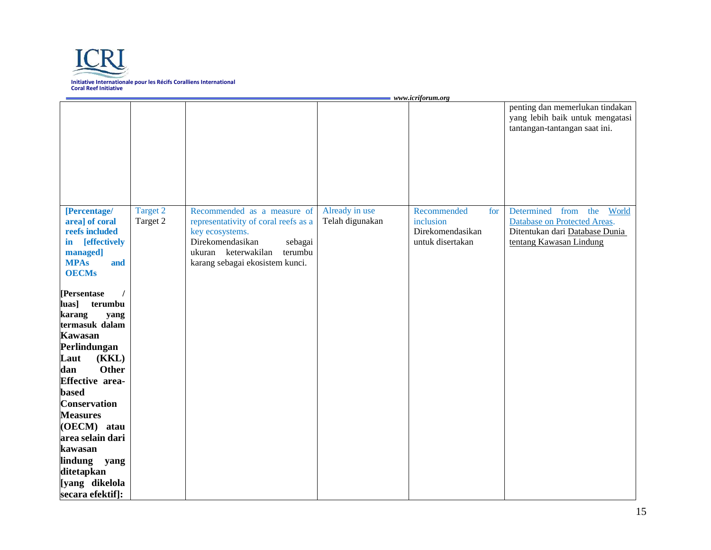

|                                                                                                                                                                                                                                                                                                                                                 | $=$ www.icriforum.org |                                                                                                                                                                                            |                                   |                                                                         |                                                                                                                                 |  |
|-------------------------------------------------------------------------------------------------------------------------------------------------------------------------------------------------------------------------------------------------------------------------------------------------------------------------------------------------|-----------------------|--------------------------------------------------------------------------------------------------------------------------------------------------------------------------------------------|-----------------------------------|-------------------------------------------------------------------------|---------------------------------------------------------------------------------------------------------------------------------|--|
|                                                                                                                                                                                                                                                                                                                                                 |                       |                                                                                                                                                                                            |                                   |                                                                         | penting dan memerlukan tindakan<br>yang lebih baik untuk mengatasi<br>tantangan-tantangan saat ini.                             |  |
| [Percentage/<br>area] of coral<br>reefs included<br>in [effectively<br>managed]<br><b>MPAs</b><br>and<br><b>OECMs</b>                                                                                                                                                                                                                           | Target 2<br>Target 2  | Recommended as a measure of<br>representativity of coral reefs as a<br>key ecosystems.<br>Direkomendasikan<br>sebagai<br>ukuran keterwakilan<br>terumbu<br>karang sebagai ekosistem kunci. | Already in use<br>Telah digunakan | Recommended<br>for<br>inclusion<br>Direkomendasikan<br>untuk disertakan | Determined<br>the<br>World<br>from<br>Database on Protected Areas.<br>Ditentukan dari Database Dunia<br>tentang Kawasan Lindung |  |
| [Persentase<br>luas]<br>terumbu<br>karang<br>yang<br>termasuk dalam<br><b>Kawasan</b><br>Perlindungan<br>(KKL)<br>Laut<br><b>Other</b><br>dan<br><b>Effective area-</b><br>based<br><b>Conservation</b><br><b>Measures</b><br>(OECM) atau<br>area selain dari<br>kawasan<br>lindung<br>yang<br>ditetapkan<br>[yang dikelola<br>secara efektif]: |                       |                                                                                                                                                                                            |                                   |                                                                         |                                                                                                                                 |  |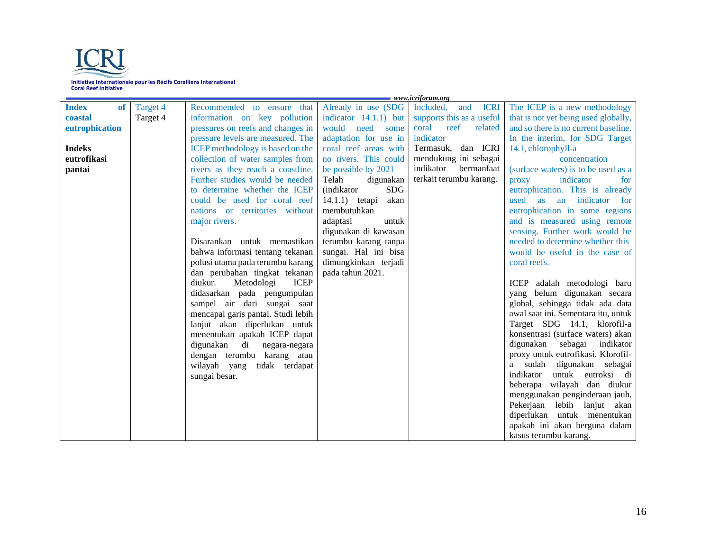

|                           |          | $=$ www.icriforum.org                   |                          |                                 |                                                                         |  |
|---------------------------|----------|-----------------------------------------|--------------------------|---------------------------------|-------------------------------------------------------------------------|--|
| <b>Index</b><br><b>of</b> | Target 4 | Recommended to ensure that              | Already in use (SDG      | <b>ICRI</b><br>Included,<br>and | The ICEP is a new methodology                                           |  |
| coastal                   | Target 4 | information on key pollution            | indicator $14.1.1$ ) but | supports this as a useful       | that is not yet being used globally,                                    |  |
| eutrophication            |          | pressures on reefs and changes in       | would need<br>some       | coral reef<br>related           | and so there is no current baseline.                                    |  |
|                           |          | pressure levels are measured. The       | adaptation for use in    | indicator                       | In the interim, for SDG Target                                          |  |
| <b>Indeks</b>             |          | <b>ICEP</b> methodology is based on the | coral reef areas with    | Termasuk, dan ICRI              | 14.1, chlorophyll-a                                                     |  |
| eutrofikasi               |          | collection of water samples from        | no rivers. This could    | mendukung ini sebagai           | concentration                                                           |  |
| pantai                    |          | rivers as they reach a coastline.       | be possible by 2021      | indikator<br>bermanfaat         | (surface waters) is to be used as a                                     |  |
|                           |          | Further studies would be needed         | Telah<br>digunakan       | terkait terumbu karang.         | indicator<br>for<br>proxy                                               |  |
|                           |          | to determine whether the ICEP           | <b>SDG</b><br>(indikator |                                 | eutrophication. This is already                                         |  |
|                           |          | could be used for coral reef            | 14.1.1) tetapi<br>akan   |                                 | used<br>as an<br>indicator for                                          |  |
|                           |          | nations or territories without          | membutuhkan              |                                 | eutrophication in some regions                                          |  |
|                           |          | major rivers.                           | adaptasi<br>untuk        |                                 | and is measured using remote                                            |  |
|                           |          |                                         | digunakan di kawasan     |                                 | sensing. Further work would be                                          |  |
|                           |          | Disarankan untuk memastikan             | terumbu karang tanpa     |                                 | needed to determine whether this                                        |  |
|                           |          | bahwa informasi tentang tekanan         | sungai. Hal ini bisa     |                                 | would be useful in the case of                                          |  |
|                           |          | polusi utama pada terumbu karang        | dimungkinkan terjadi     |                                 | coral reefs.                                                            |  |
|                           |          | dan perubahan tingkat tekanan           | pada tahun 2021.         |                                 |                                                                         |  |
|                           |          | diukur.<br>Metodologi<br><b>ICEP</b>    |                          |                                 | adalah metodologi baru<br>ICEP                                          |  |
|                           |          | didasarkan pada pengumpulan             |                          |                                 | belum digunakan secara<br>vang                                          |  |
|                           |          | sampel air dari sungai saat             |                          |                                 | global, sehingga tidak ada data                                         |  |
|                           |          | mencapai garis pantai. Studi lebih      |                          |                                 | awal saat ini. Sementara itu, untuk                                     |  |
|                           |          | lanjut akan diperlukan untuk            |                          |                                 | Target SDG 14.1, klorofil-a                                             |  |
|                           |          | menentukan apakah ICEP dapat            |                          |                                 | konsentrasi (surface waters) akan                                       |  |
|                           |          | digunakan<br>di<br>negara-negara        |                          |                                 | digunakan<br>sebagai<br>indikator<br>proxy untuk eutrofikasi. Klorofil- |  |
|                           |          | dengan terumbu karang atau              |                          |                                 | a sudah<br>digunakan sebagai                                            |  |
|                           |          | wilayah yang<br>tidak terdapat          |                          |                                 | indikator<br>untuk eutroksi di                                          |  |
|                           |          | sungai besar.                           |                          |                                 | beberapa wilayah dan diukur                                             |  |
|                           |          |                                         |                          |                                 | menggunakan penginderaan jauh.                                          |  |
|                           |          |                                         |                          |                                 | Pekerjaan lebih lanjut akan                                             |  |
|                           |          |                                         |                          |                                 | diperlukan untuk menentukan                                             |  |
|                           |          |                                         |                          |                                 | apakah ini akan berguna dalam                                           |  |
|                           |          |                                         |                          |                                 | kasus terumbu karang.                                                   |  |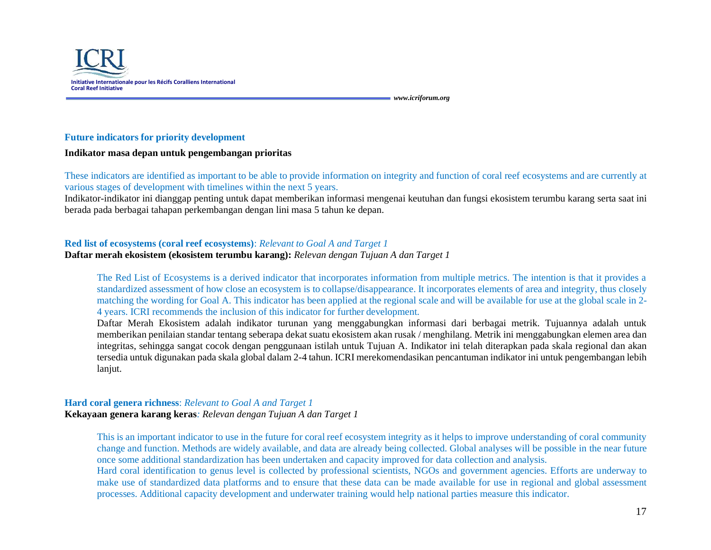

#### **Future indicators for priority development**

#### **Indikator masa depan untuk pengembangan prioritas**

These indicators are identified as important to be able to provide information on integrity and function of coral reef ecosystems and are currently at various stages of development with timelines within the next 5 years.

Indikator-indikator ini dianggap penting untuk dapat memberikan informasi mengenai keutuhan dan fungsi ekosistem terumbu karang serta saat ini berada pada berbagai tahapan perkembangan dengan lini masa 5 tahun ke depan.

## **Red list of ecosystems (coral reef ecosystems)**: *Relevant to Goal A and Target 1*

#### **Daftar merah ekosistem (ekosistem terumbu karang):** *Relevan dengan Tujuan A dan Target 1*

The Red List of Ecosystems is a derived indicator that incorporates information from multiple metrics. The intention is that it provides a standardized assessment of how close an ecosystem is to collapse/disappearance. It incorporates elements of area and integrity, thus closely matching the wording for Goal A. This indicator has been applied at the regional scale and will be available for use at the global scale in 2- 4 years. ICRI recommends the inclusion of this indicator for further development.

Daftar Merah Ekosistem adalah indikator turunan yang menggabungkan informasi dari berbagai metrik. Tujuannya adalah untuk memberikan penilaian standar tentang seberapa dekat suatu ekosistem akan rusak / menghilang. Metrik ini menggabungkan elemen area dan integritas, sehingga sangat cocok dengan penggunaan istilah untuk Tujuan A. Indikator ini telah diterapkan pada skala regional dan akan tersedia untuk digunakan pada skala global dalam 2-4 tahun. ICRI merekomendasikan pencantuman indikator ini untuk pengembangan lebih lanjut.

#### **Hard coral genera richness**: *Relevant to Goal A and Target 1* **Kekayaan genera karang keras***: Relevan dengan Tujuan A dan Target 1*

This is an important indicator to use in the future for coral reef ecosystem integrity as it helps to improve understanding of coral community change and function. Methods are widely available, and data are already being collected. Global analyses will be possible in the near future once some additional standardization has been undertaken and capacity improved for data collection and analysis.

Hard coral identification to genus level is collected by professional scientists, NGOs and government agencies. Efforts are underway to make use of standardized data platforms and to ensure that these data can be made available for use in regional and global assessment processes. Additional capacity development and underwater training would help national parties measure this indicator.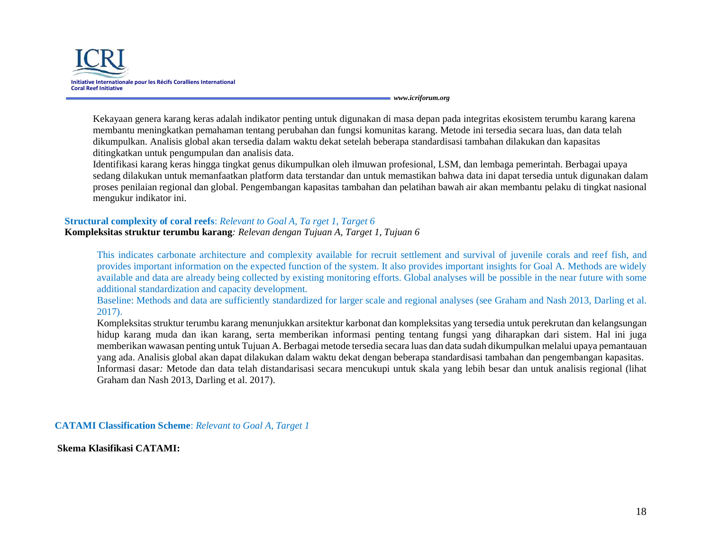

Kekayaan genera karang keras adalah indikator penting untuk digunakan di masa depan pada integritas ekosistem terumbu karang karena membantu meningkatkan pemahaman tentang perubahan dan fungsi komunitas karang. Metode ini tersedia secara luas, dan data telah dikumpulkan. Analisis global akan tersedia dalam waktu dekat setelah beberapa standardisasi tambahan dilakukan dan kapasitas ditingkatkan untuk pengumpulan dan analisis data.

Identifikasi karang keras hingga tingkat genus dikumpulkan oleh ilmuwan profesional, LSM, dan lembaga pemerintah. Berbagai upaya sedang dilakukan untuk memanfaatkan platform data terstandar dan untuk memastikan bahwa data ini dapat tersedia untuk digunakan dalam proses penilaian regional dan global. Pengembangan kapasitas tambahan dan pelatihan bawah air akan membantu pelaku di tingkat nasional mengukur indikator ini.

#### **Structural complexity of coral reefs**: *Relevant to Goal A, Ta rget 1, Target 6*

**Kompleksitas struktur terumbu karang***: Relevan dengan Tujuan A, Target 1, Tujuan 6*

This indicates carbonate architecture and complexity available for recruit settlement and survival of juvenile corals and reef fish, and provides important information on the expected function of the system. It also provides important insights for Goal A. Methods are widely available and data are already being collected by existing monitoring efforts. Global analyses will be possible in the near future with some additional standardization and capacity development.

Baseline: Methods and data are sufficiently standardized for larger scale and regional analyses (see Graham and Nash 2013, Darling et al. 2017).

Kompleksitas struktur terumbu karang menunjukkan arsitektur karbonat dan kompleksitas yang tersedia untuk perekrutan dan kelangsungan hidup karang muda dan ikan karang, serta memberikan informasi penting tentang fungsi yang diharapkan dari sistem. Hal ini juga memberikan wawasan penting untuk Tujuan A. Berbagai metode tersedia secara luas dan data sudah dikumpulkan melalui upaya pemantauan yang ada. Analisis global akan dapat dilakukan dalam waktu dekat dengan beberapa standardisasi tambahan dan pengembangan kapasitas. Informasi dasar*:* Metode dan data telah distandarisasi secara mencukupi untuk skala yang lebih besar dan untuk analisis regional (lihat Graham dan Nash 2013, Darling et al. 2017).

**CATAMI Classification Scheme**: *Relevant to Goal A, Target 1*

**Skema Klasifikasi CATAMI:**